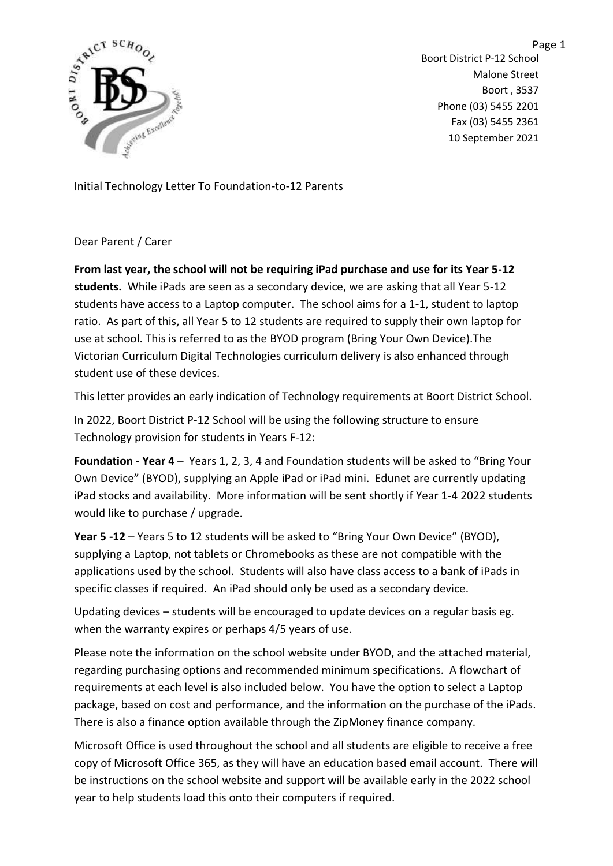

Page 1 Boort District P-12 School Malone Street Boort , 3537 Phone (03) 5455 2201 Fax (03) 5455 2361 10 September 2021

Initial Technology Letter To Foundation-to-12 Parents

Dear Parent / Carer

**From last year, the school will not be requiring iPad purchase and use for its Year 5-12 students.** While iPads are seen as a secondary device, we are asking that all Year 5-12 students have access to a Laptop computer. The school aims for a 1-1, student to laptop ratio. As part of this, all Year 5 to 12 students are required to supply their own laptop for use at school. This is referred to as the BYOD program (Bring Your Own Device).The Victorian Curriculum Digital Technologies curriculum delivery is also enhanced through student use of these devices.

This letter provides an early indication of Technology requirements at Boort District School.

In 2022, Boort District P-12 School will be using the following structure to ensure Technology provision for students in Years F-12:

**Foundation - Year 4** – Years 1, 2, 3, 4 and Foundation students will be asked to "Bring Your Own Device" (BYOD), supplying an Apple iPad or iPad mini. Edunet are currently updating iPad stocks and availability. More information will be sent shortly if Year 1-4 2022 students would like to purchase / upgrade.

**Year 5 -12** – Years 5 to 12 students will be asked to "Bring Your Own Device" (BYOD), supplying a Laptop, not tablets or Chromebooks as these are not compatible with the applications used by the school. Students will also have class access to a bank of iPads in specific classes if required. An iPad should only be used as a secondary device.

Updating devices – students will be encouraged to update devices on a regular basis eg. when the warranty expires or perhaps 4/5 years of use.

Please note the information on the school website under BYOD, and the attached material, regarding purchasing options and recommended minimum specifications. A flowchart of requirements at each level is also included below. You have the option to select a Laptop package, based on cost and performance, and the information on the purchase of the iPads. There is also a finance option available through the ZipMoney finance company.

Microsoft Office is used throughout the school and all students are eligible to receive a free copy of Microsoft Office 365, as they will have an education based email account. There will be instructions on the school website and support will be available early in the 2022 school year to help students load this onto their computers if required.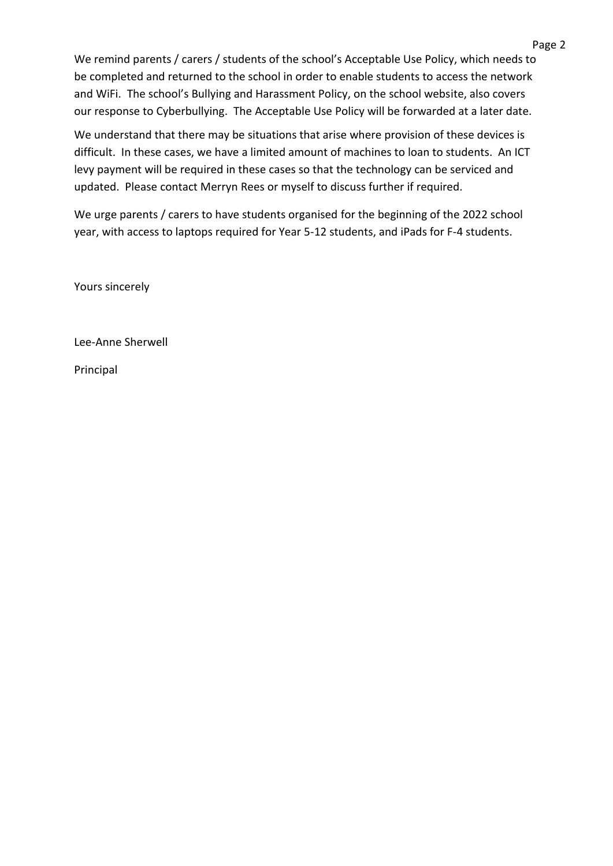We remind parents / carers / students of the school's Acceptable Use Policy, which needs to be completed and returned to the school in order to enable students to access the network and WiFi. The school's Bullying and Harassment Policy, on the school website, also covers our response to Cyberbullying. The Acceptable Use Policy will be forwarded at a later date.

We understand that there may be situations that arise where provision of these devices is difficult. In these cases, we have a limited amount of machines to loan to students. An ICT levy payment will be required in these cases so that the technology can be serviced and updated. Please contact Merryn Rees or myself to discuss further if required.

We urge parents / carers to have students organised for the beginning of the 2022 school year, with access to laptops required for Year 5-12 students, and iPads for F-4 students.

Yours sincerely

Lee-Anne Sherwell

Principal